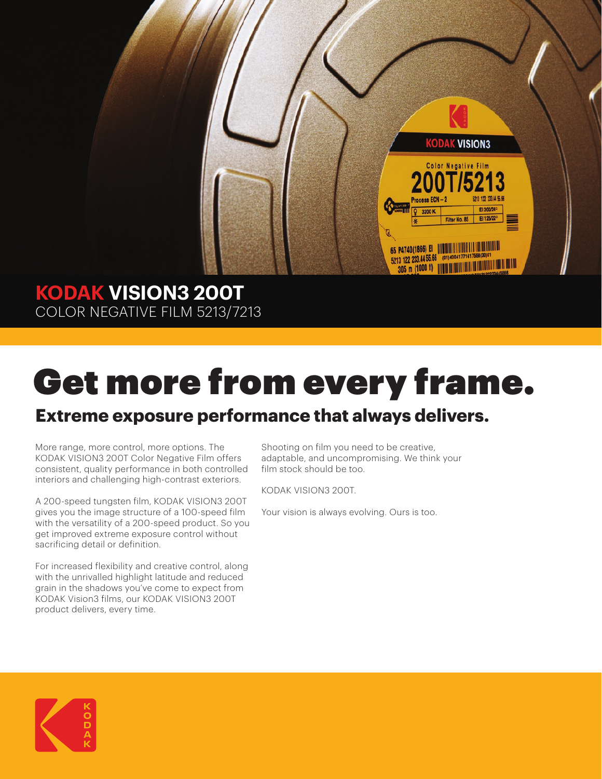

# **KODAK VISION3 200T** COLOR NEGATIVE FILM 5213/7213

# Get more from every frame.

# **Extreme exposure performance that always delivers.**

More range, more control, more options. The KODAK VISION3 200T Color Negative Film offers consistent, quality performance in both controlled interiors and challenging high-contrast exteriors.

A 200-speed tungsten film, KODAK VISION3 200T gives you the image structure of a 100-speed film with the versatility of a 200-speed product. So you get improved extreme exposure control without sacrificing detail or definition.

For increased flexibility and creative control, along with the unrivalled highlight latitude and reduced grain in the shadows you've come to expect from KODAK Vision3 films, our KODAK VISION3 200T product delivers, every time.

Shooting on film you need to be creative, adaptable, and uncompromising. We think your film stock should be too.

KODAK VISION3 200T.

Your vision is always evolving. Ours is too.

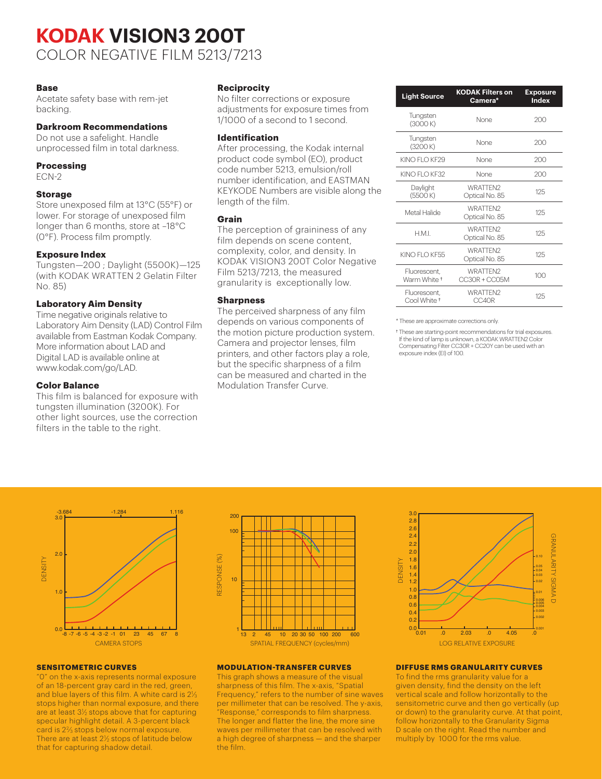# **KODAK VISION3 200T** COLOR NEGATIVE FILM 5213/7213

#### **Base**

Acetate safety base with rem-jet backing.

# **Darkroom Recommendations**

Do not use a safelight. Handle unprocessed film in total darkness.

#### **Processing**

ECN-2

#### **Storage**

Store unexposed film at 13°C (55°F) or lower. For storage of unexposed film longer than 6 months, store at –18°C (0°F). Process film promptly.

#### **Exposure Index**

Tungsten—200 ; Daylight (5500K)—125 (with KODAK WRATTEN 2 Gelatin Filter No. 85)

## **Laboratory Aim Density**

Time negative originals relative to Laboratory Aim Density (LAD) Control Film available from Eastman Kodak Company. More information about LAD and Digital LAD is available online at www.kodak.com/go/LAD.

## **Color Balance**

This film is balanced for exposure with tungsten illumination (3200K). For other light sources, use the correction filters in the table to the right.

## **Reciprocity**

No filter corrections or exposure adjustments for exposure times from 1/1000 of a second to 1 second.

#### **Identification**

After processing, the Kodak internal product code symbol (EO), product code number 5213, emulsion/roll number identification, and EASTMAN KEYKODE Numbers are visible along the length of the film.

#### **Grain**

The perception of graininess of any film depends on scene content, complexity, color, and density. In KODAK VISION3 200T Color Negative Film 5213/7213, the measured granularity is exceptionally low.

#### **Sharpness**

The perceived sharpness of any film depends on various components of the motion picture production system. Camera and projector lenses, film printers, and other factors play a role, but the specific sharpness of a film can be measured and charted in the Modulation Transfer Curve.

| <b>Light Source</b>                     | <b>KODAK Filters on</b><br>Camera* | <b>Exposure</b><br><b>Index</b> |  |
|-----------------------------------------|------------------------------------|---------------------------------|--|
| Tungsten<br>(3000K)                     | None                               | 200                             |  |
| Tungsten<br>(3200 K)                    | None                               | 200                             |  |
| KINO FI O KF29                          | None                               | 200                             |  |
| KINO FI O KE32                          | None                               | 200                             |  |
| Daylight<br>(5500K)                     | WRATTFN2<br>Optical No. 85         | 125                             |  |
| Metal Halide                            | WRATTFN2<br>Optical No. 85         | 125                             |  |
| H M I                                   | WRATTFN2<br>Optical No. 85         | 125                             |  |
| KINO FI O KF55                          | WRATTFN2<br>Optical No. 85         | 125                             |  |
| Fluorescent.<br>Warm White <sup>+</sup> | WRATTFN2<br>CC30R + CC05M          | 100                             |  |
| Fluorescent.<br>Cool White <sup>+</sup> | WRATTFN2<br>CC40R                  | 125                             |  |

\* These are approximate corrections only.

† These are starting-point recommendations for trial exposures. If the kind of lamp is unknown, a KODAK WRATTEN2 Color Compensating Filter CC30R + CC20Y can be used with an exposure index (EI) of 100.



#### **SENSITOMETRIC CURVES**

"0" on the x-axis represents normal exposure of an 18-percent gray card in the red, green, and blue layers of this film. A white card is  $2\%$ stops higher than normal exposure, and there are at least  $3\frac{1}{2}$  stops above that for capturing specular highlight detail. A 3-percent black card is 22⁄3 stops below normal exposure. There are at least 21 ⁄2 stops of latitude below that for capturing shadow detail.



#### **MODULATION-TRANSFER CURVES**

This graph shows a measure of the visual sharpness of this film. The x-axis, "Spatial Frequency," refers to the number of sine waves per millimeter that can be resolved. The y-axis, "Response," corresponds to film sharpness. The longer and flatter the line, the more sine waves per millimeter that can be resolved with a high degree of sharpness — and the sharper the film.



#### **DIFFUSE RMS GRANULARITY CURVES**

To find the rms granularity value for a given density, find the density on the left vertical scale and follow horizontally to the sensitometric curve and then go vertically (up or down) to the granularity curve. At that point, follow horizontally to the Granularity Sigma D scale on the right. Read the number and multiply by 1000 for the rms value.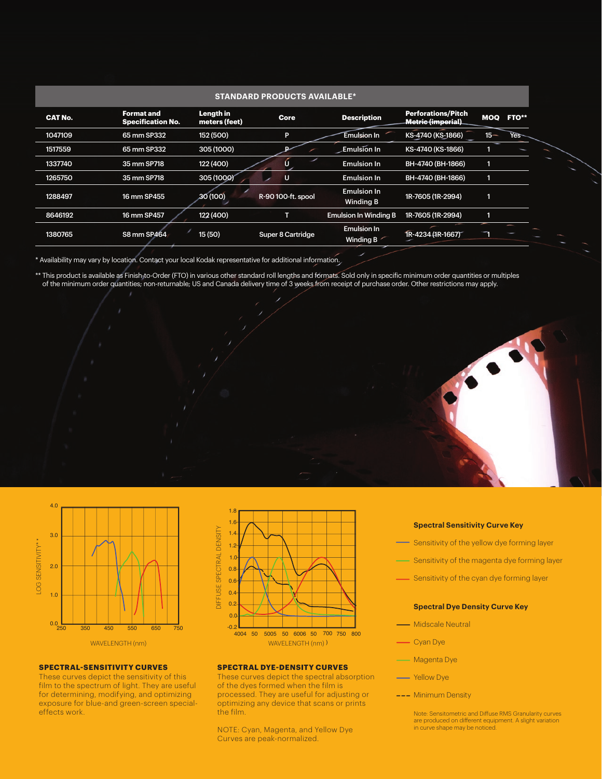| <b>STANDARD PRODUCTS AVAILABLE*</b> |                                               |                            |                    |                                           |                                                 |            |                  |  |  |  |
|-------------------------------------|-----------------------------------------------|----------------------------|--------------------|-------------------------------------------|-------------------------------------------------|------------|------------------|--|--|--|
| <b>CAT No.</b>                      | <b>Format and</b><br><b>Specification No.</b> | Length in<br>meters (feet) | Core               | <b>Description</b>                        | <b>Perforations/Pitch</b><br>Metric (imperial). | <b>MOQ</b> | <b>FTO**</b>     |  |  |  |
| 1047109                             | 65 mm SP332                                   | 152 (500)                  | P                  | <b>Emulsion In</b>                        | KS-4740 (KS-1866)                               | $15 -$     | Yes <sup>-</sup> |  |  |  |
| 1517559                             | 65 mm SP332                                   | 305 (1000)                 |                    | <b>Emulsion In</b>                        | KS-4740 (KS-1866)                               |            |                  |  |  |  |
| 1337740                             | 35 mm SP718                                   | 122 (400)                  |                    | <b>Emulsion In</b>                        | BH-4740 (BH-1866)                               | 1          |                  |  |  |  |
| 1265750                             | 35 mm SP718                                   | 305 (1000)                 | U                  | <b>Emulsion In</b>                        | BH-4740 (BH-1866)                               |            |                  |  |  |  |
| 1288497                             | 16 mm SP455                                   | 30 (100)                   | R-90 100-ft. spool | <b>Emulsion In</b><br><b>Winding B</b>    | 1R-7605 (1R-2994)                               | 1          |                  |  |  |  |
| 8646192                             | 16 mm SP457                                   | 122 (400)                  |                    | <b>Emulsion In Winding B</b>              | 1R-7605 (1R-2994)                               | 1          |                  |  |  |  |
| 1380765                             | <b>S8 mm SP464</b>                            | 15(50)                     | Super 8 Cartridge  | <b>Emulsion In</b><br>Winding B $\degree$ | 1R-4234 (1R-1667)                               |            |                  |  |  |  |

\* Availability may vary by location. Contact your local Kodak representative for additional information.

\*\* This product is available as Finish-to-Order (FTO) in various other standard roll lengths and formats. Sold only in specific minimum order quantities or multiples of the minimum order quantities; non-returnable; US and Canada delivery time of 3 weeks from receipt of purchase order. Other restrictions may apply.





#### **SPECTRAL-SENSITIVITY CURVES**

These curves depict the sensitivity of this film to the spectrum of light. They are useful for determining, modifying, and optimizing exposure for blue-and green-screen specialeffects work.



#### **SPECTRAL DYE-DENSITY CURVES**

These curves depict the spectral absorption of the dyes formed when the film is processed. They are useful for adjusting or optimizing any device that scans or prints the film.

NOTE: Cyan, Magenta, and Yellow Dye Curves are peak-normalized.

## **Spectral Sensitivity Curve Key**

- Sensitivity of the yellow dye forming layer
- Sensitivity of the magenta dye forming layer
- Sensitivity of the cyan dye forming layer

#### **Spectral Dye Density Curve Key**

- Midscale Neutral
- Cyan Dye
- **Magenta Dye**
- Yellow Dye
- --- Minimum Density
	- Note: Sensitometric and Diffuse RMS Granularity curves<br>are produced on different equipment. A slight variation<br>in curve shape may be noticed.